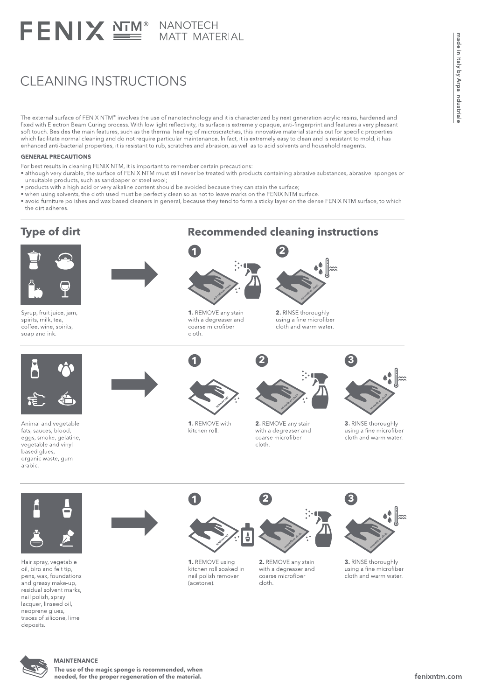# FENIX SE MATT MATERIAL

# CLEANING INSTRUCTIONS

The external surface of FENIX NTM® involves the use of nanotechnology and it is characterized by next generation acrylic resins, hardened and fixed with Electron Beam Curing process. With low light reflectivity, its surface is extremely opaque, anti-fingerprint and features a very pleasant soft touch. Besides the main features, such as the thermal healing of microscratches, this innovative material stands out for specific properties which facilitate normal cleaning and do not require particular maintenance. In fact, it is extremely easy to clean and is resistant to mold, it has enhanced anti-bacterial properties, it is resistant to rub, scratches and abrasion, as well as to acid solvents and household reagents.

#### **GENERAL PRECAUTIONS**

- For best results in cleaning FENIX NTM, it is important to remember certain precautions:
- . although very durable, the surface of FENIX NTM must still never be treated with products containing abrasive substances, abrasive sponges or unsuitable products, such as sandpaper or steel wool;
- . products with a high acid or very alkaline content should be avoided because they can stain the surface;
- . when using solvents, the cloth used must be perfectly clean so as not to leave marks on the FENIX NTM surface.
- · avoid furniture polishes and wax based cleaners in general, because they tend to form a sticky layer on the dense FENIX NTM surface, to which the dirt adheres.

### **Type of dirt**



Syrup, fruit juice, jam, spirits, milk, tea, coffee, wine, spirits, soap and ink.





1. REMOVE any stain with a degreaser and coarse microfiber cloth



**Recommended cleaning instructions** 

2. RINSE thoroughly using a fine microfiber cloth and warm water.



Animal and vegetable fats, sauces, blood, eggs, smoke, gelatine, vegetable and vinyl based glues, organic waste, gum arabic



 $\blacksquare$ 

1. REMOVE with kitchen roll.



2

2. REMOVE any stain with a degreaser and coarse microfiber  $cl$ <sub>oth</sub>



3. RINSE thoroughly using a fine microfiber cloth and warm water.



Hair spray, vegetable oil, biro and felt tip, pens, wax, foundations and greasy make-up, residual solvent marks, nail polish, spray lacquer, linseed oil neoprene glues, traces of silicone, lime deposits.



1. REMOVE using kitchen roll soaked in nail polish remover (acetone).



2. REMOVE any stain with a degreaser and coarse microfiber  $cloth$ 



3. RINSE thoroughly using a fine microfiber cloth and warm water.



The use of the magic sponge is recommended, when needed, for the proper regeneration of the material.

made in Italy by Arpa Industriale